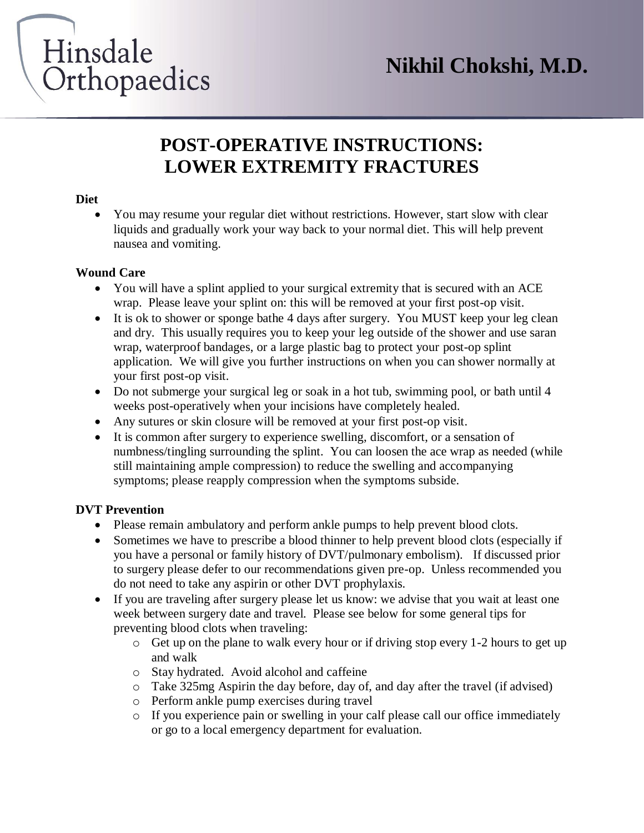# Hinsdale Orthopaedics

# **POST-OPERATIVE INSTRUCTIONS: LOWER EXTREMITY FRACTURES**

## **Diet**

 You may resume your regular diet without restrictions. However, start slow with clear liquids and gradually work your way back to your normal diet. This will help prevent nausea and vomiting.

# **Wound Care**

- You will have a splint applied to your surgical extremity that is secured with an ACE wrap. Please leave your splint on: this will be removed at your first post-op visit.
- It is ok to shower or sponge bathe 4 days after surgery. You MUST keep your leg clean and dry. This usually requires you to keep your leg outside of the shower and use saran wrap, waterproof bandages, or a large plastic bag to protect your post-op splint application. We will give you further instructions on when you can shower normally at your first post-op visit.
- Do not submerge your surgical leg or soak in a hot tub, swimming pool, or bath until 4 weeks post-operatively when your incisions have completely healed.
- Any sutures or skin closure will be removed at your first post-op visit.
- It is common after surgery to experience swelling, discomfort, or a sensation of numbness/tingling surrounding the splint. You can loosen the ace wrap as needed (while still maintaining ample compression) to reduce the swelling and accompanying symptoms; please reapply compression when the symptoms subside.

# **DVT Prevention**

- Please remain ambulatory and perform ankle pumps to help prevent blood clots.
- Sometimes we have to prescribe a blood thinner to help prevent blood clots (especially if you have a personal or family history of DVT/pulmonary embolism). If discussed prior to surgery please defer to our recommendations given pre-op. Unless recommended you do not need to take any aspirin or other DVT prophylaxis.
- If you are traveling after surgery please let us know: we advise that you wait at least one week between surgery date and travel. Please see below for some general tips for preventing blood clots when traveling:
	- o Get up on the plane to walk every hour or if driving stop every 1-2 hours to get up and walk
	- o Stay hydrated. Avoid alcohol and caffeine
	- o Take 325mg Aspirin the day before, day of, and day after the travel (if advised)
	- o Perform ankle pump exercises during travel
	- $\circ$  If you experience pain or swelling in your calf please call our office immediately or go to a local emergency department for evaluation.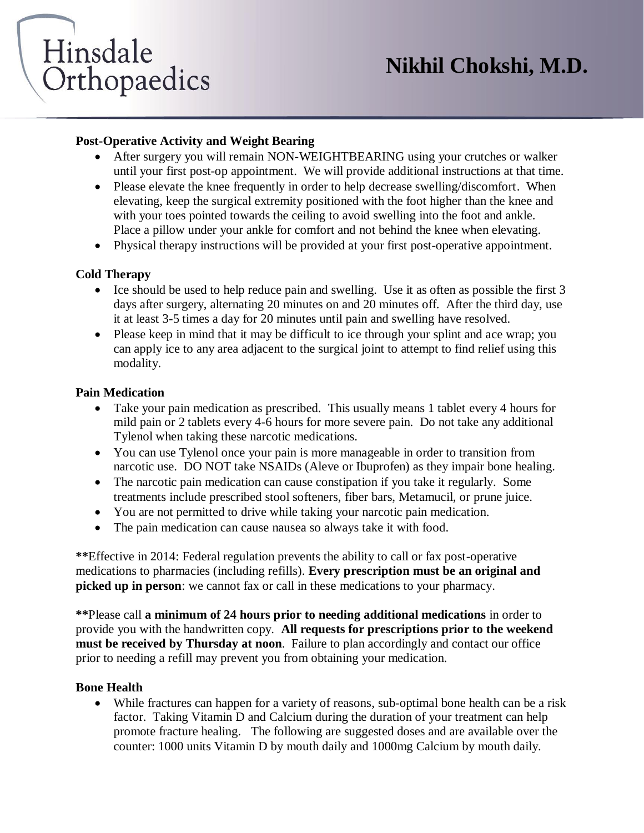

## **Post-Operative Activity and Weight Bearing**

- After surgery you will remain NON-WEIGHTBEARING using your crutches or walker until your first post-op appointment. We will provide additional instructions at that time.
- Please elevate the knee frequently in order to help decrease swelling/discomfort. When elevating, keep the surgical extremity positioned with the foot higher than the knee and with your toes pointed towards the ceiling to avoid swelling into the foot and ankle. Place a pillow under your ankle for comfort and not behind the knee when elevating.
- Physical therapy instructions will be provided at your first post-operative appointment.

# **Cold Therapy**

- $\bullet$  Ice should be used to help reduce pain and swelling. Use it as often as possible the first 3 days after surgery, alternating 20 minutes on and 20 minutes off. After the third day, use it at least 3-5 times a day for 20 minutes until pain and swelling have resolved.
- Please keep in mind that it may be difficult to ice through your splint and ace wrap; you can apply ice to any area adjacent to the surgical joint to attempt to find relief using this modality.

## **Pain Medication**

- Take your pain medication as prescribed. This usually means 1 tablet every 4 hours for mild pain or 2 tablets every 4-6 hours for more severe pain. Do not take any additional Tylenol when taking these narcotic medications.
- You can use Tylenol once your pain is more manageable in order to transition from narcotic use. DO NOT take NSAIDs (Aleve or Ibuprofen) as they impair bone healing.
- The narcotic pain medication can cause constipation if you take it regularly. Some treatments include prescribed stool softeners, fiber bars, Metamucil, or prune juice.
- You are not permitted to drive while taking your narcotic pain medication.
- The pain medication can cause nausea so always take it with food.

**\*\***Effective in 2014: Federal regulation prevents the ability to call or fax post-operative medications to pharmacies (including refills). **Every prescription must be an original and picked up in person**: we cannot fax or call in these medications to your pharmacy.

**\*\***Please call **a minimum of 24 hours prior to needing additional medications** in order to provide you with the handwritten copy. **All requests for prescriptions prior to the weekend must be received by Thursday at noon**. Failure to plan accordingly and contact our office prior to needing a refill may prevent you from obtaining your medication.

## **Bone Health**

 While fractures can happen for a variety of reasons, sub-optimal bone health can be a risk factor. Taking Vitamin D and Calcium during the duration of your treatment can help promote fracture healing. The following are suggested doses and are available over the counter: 1000 units Vitamin D by mouth daily and 1000mg Calcium by mouth daily.